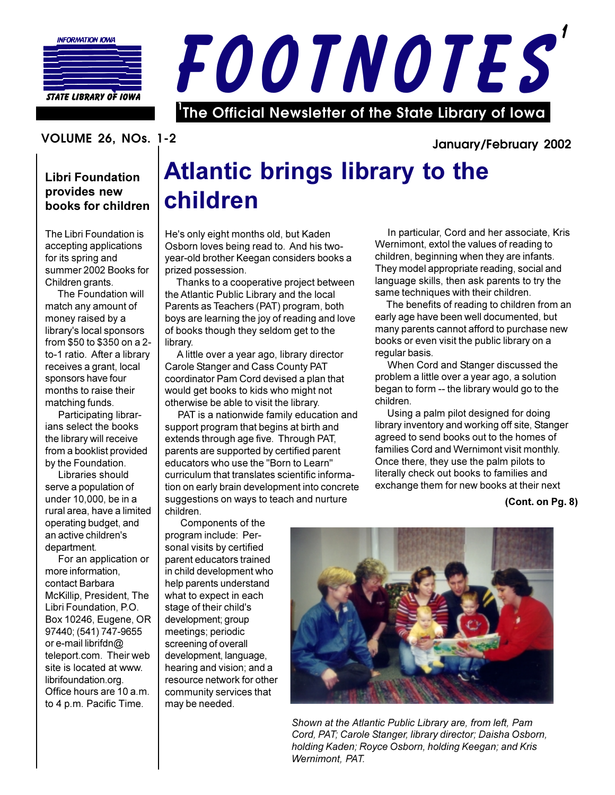



## VOLUME 26, NOs. 1-2

## **Libri Foundation** provides new books for children

The Libri Foundation is accepting applications for its spring and summer 2002 Books for Children grants.

The Foundation will match any amount of money raised by a library's local sponsors from \$50 to \$350 on a 2to-1 ratio. After a library receives a grant, local sponsors have four months to raise their matching funds.

Participating librarians select the books the library will receive from a booklist provided by the Foundation.

Libraries should serve a population of under 10,000, be in a rural area, have a limited operating budget, and an active children's department.

For an application or more information. contact Barbara McKillip, President, The Libri Foundation, P.O. Box 10246, Eugene, OR 97440; (541) 747-9655 or e-mail librifdn@ teleport.com. Their web site is located at www. librifoundation.org. Office hours are 10 a.m. to 4 p.m. Pacific Time.

# **Atlantic brings library to the** children

He's only eight months old, but Kaden Osborn loves being read to. And his twoyear-old brother Keegan considers books a prized possession.

Thanks to a cooperative project between the Atlantic Public Library and the local Parents as Teachers (PAT) program, both boys are learning the joy of reading and love of books though they seldom get to the library.

A little over a year ago, library director Carole Stanger and Cass County PAT coordinator Pam Cord devised a plan that would get books to kids who might not otherwise be able to visit the library.

PAT is a nationwide family education and support program that begins at birth and extends through age five. Through PAT, parents are supported by certified parent educators who use the "Born to Learn" curriculum that translates scientific information on early brain development into concrete suggestions on ways to teach and nurture children.

Components of the program include: Personal visits by certified parent educators trained in child development who help parents understand what to expect in each stage of their child's development; group meetings; periodic screening of overall development, language, hearing and vision; and a resource network for other community services that may be needed.

Shown at the Atlantic Public Library are, from left, Pam Cord, PAT; Carole Stanger, library director; Daisha Osborn, holding Kaden; Royce Osborn, holding Keegan; and Kris Wernimont, PAT.

In particular, Cord and her associate, Kris Wernimont, extol the values of reading to children, beginning when they are infants. They model appropriate reading, social and language skills, then ask parents to try the same techniques with their children.

The benefits of reading to children from an early age have been well documented, but many parents cannot afford to purchase new books or even visit the public library on a regular basis.

When Cord and Stanger discussed the problem a little over a year ago, a solution began to form -- the library would go to the children

Using a palm pilot designed for doing library inventory and working off site, Stanger agreed to send books out to the homes of families Cord and Wernimont visit monthly. Once there, they use the palm pilots to literally check out books to families and exchange them for new books at their next

### (Cont. on Pg. 8)

### January/February 2002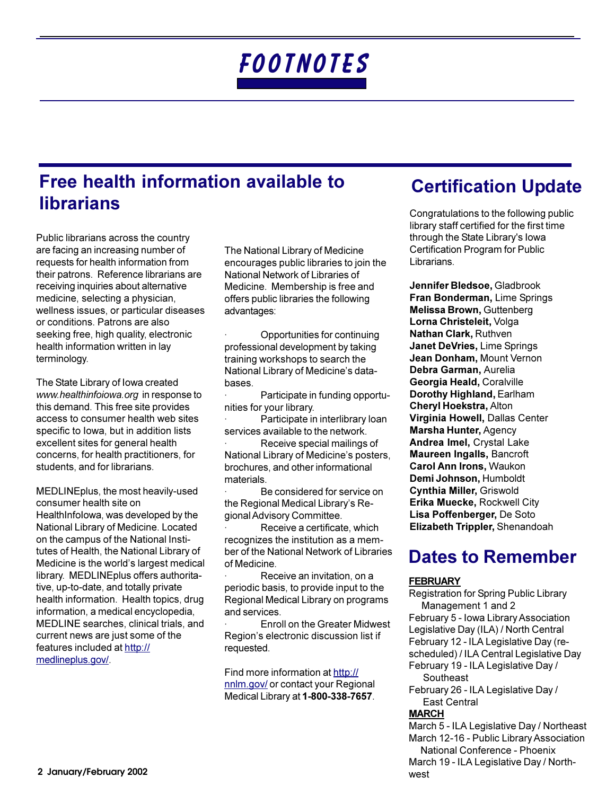## Free health information available to **librarians**

Public librarians across the country are facing an increasing number of requests for health information from their patrons. Reference librarians are receiving inquiries about alternative medicine, selecting a physician, wellness issues, or particular diseases or conditions. Patrons are also seeking free, high quality, electronic health information written in lay terminology.

The State Library of Iowa created www.healthinfoiowa.org in response to this demand. This free site provides access to consumer health web sites specific to lowa, but in addition lists excellent sites for general health concerns, for health practitioners, for students, and for librarians.

MEDLINEplus, the most heavily-used consumer health site on HealthInfolowa, was developed by the National Library of Medicine. Located on the campus of the National Institutes of Health, the National Library of Medicine is the world's largest medical library. MEDLINEplus offers authoritative, up-to-date, and totally private health information. Health topics, drug information, a medical encyclopedia, MEDLINE searches, clinical trials, and current news are just some of the features included at http:// medlineplus.gov/.

The National Library of Medicine encourages public libraries to join the National Network of Libraries of Medicine. Membership is free and offers public libraries the following advantages:

Opportunities for continuing professional development by taking training workshops to search the National Library of Medicine's databases.

Participate in funding opportunities for your library.

Participate in interlibrary loan services available to the network.

Receive special mailings of National Library of Medicine's posters, brochures, and other informational materials.

Be considered for service on the Regional Medical Library's Regional Advisory Committee.

Receive a certificate, which recognizes the institution as a member of the National Network of Libraries of Medicine.

Receive an invitation, on a periodic basis, to provide input to the Regional Medical Library on programs and services.

**Enroll on the Greater Midwest** Region's electronic discussion list if requested.

Find more information at http:// nnlm.gov/ or contact your Regional Medical Library at 1-800-338-7657.

# **Certification Update**

Congratulations to the following public library staff certified for the first time through the State Library's lowa Certification Program for Public Librarians.

Jennifer Bledsoe. Gladbrook Fran Bonderman, Lime Springs Melissa Brown, Guttenberg Lorna Christeleit, Volga Nathan Clark, Ruthven Janet DeVries, Lime Springs Jean Donham. Mount Vernon Debra Garman, Aurelia Georgia Heald, Coralville Dorothy Highland, Earlham **Cheryl Hoekstra, Alton** Virginia Howell, Dallas Center Marsha Hunter, Agency Andrea Imel, Crystal Lake Maureen Ingalls, Bancroft **Carol Ann Irons. Waukon** Demi Johnson, Humboldt Cynthia Miller, Griswold Erika Muecke, Rockwell City Lisa Poffenberger, De Soto Elizabeth Trippler, Shenandoah

## **Dates to Remember**

### **FEBRUARY**

Registration for Spring Public Library Management 1 and 2 February 5 - Iowa Library Association Legislative Day (ILA) / North Central February 12 - ILA Legislative Day (rescheduled) / ILA Central Legislative Day February 19 - ILA Legislative Day / Southeast February 26 - ILA Legislative Day / East Central **MARCH** March 5 - ILA Legislative Day / Northeast March 12-16 - Public Library Association

National Conference - Phoenix March 19 - ILA Legislative Day / Northwest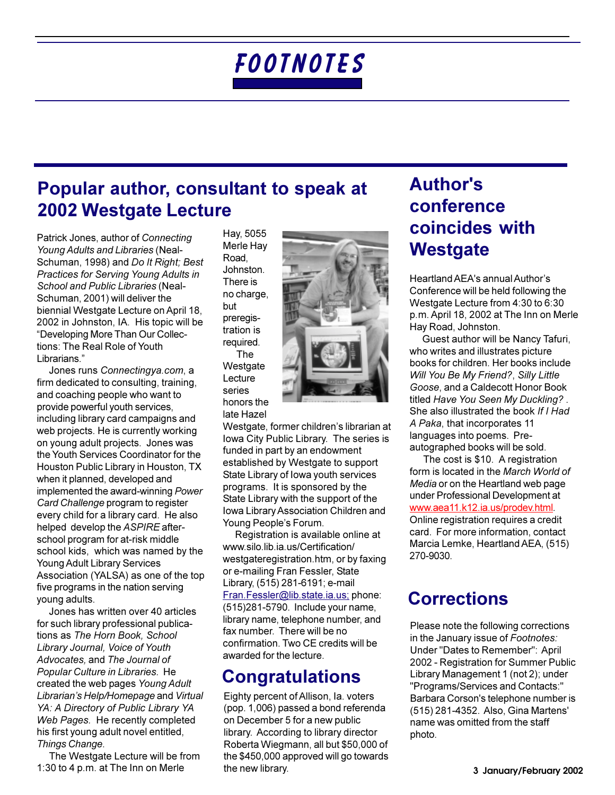## Popular author, consultant to speak at 2002 Westgate Lecture

Patrick Jones, author of Connecting Young Adults and Libraries (Neal-Schuman, 1998) and Do It Right; Best Practices for Serving Young Adults in School and Public Libraries (Neal-Schuman, 2001) will deliver the biennial Westgate Lecture on April 18, 2002 in Johnston, IA. His topic will be "Developing More Than Our Collections: The Real Role of Youth Librarians."

Jones runs Connectingya.com, a firm dedicated to consulting, training, and coaching people who want to provide powerful youth services, including library card campaigns and web projects. He is currently working on young adult projects. Jones was the Youth Services Coordinator for the Houston Public Library in Houston, TX when it planned, developed and implemented the award-winning Power Card Challenge program to register every child for a library card. He also helped develop the ASPIRE afterschool program for at-risk middle school kids, which was named by the Young Adult Library Services Association (YALSA) as one of the top five programs in the nation serving young adults.

Jones has written over 40 articles for such library professional publications as The Horn Book, School Library Journal, Voice of Youth Advocates, and The Journal of Popular Culture in Libraries. He created the web pages Young Adult Librarian's Help/Homepage and Virtual YA: A Directory of Public Library YA Web Pages. He recently completed his first young adult novel entitled, Things Change.

The Westgate Lecture will be from 1:30 to 4 p.m. at The Inn on Merle

Hay, 5055 Merle Hay Road. Johnston. There is no charge, but preregistration is required. **The** Westgate Lecture series

honors the

late Hazel



Westgate, former children's librarian at Iowa City Public Library. The series is funded in part by an endowment established by Westgate to support State Library of Iowa youth services programs. It is sponsored by the State Library with the support of the Iowa Library Association Children and Young People's Forum.

Registration is available online at www.silo.lib.ia.us/Certification/ westgateregistration.htm, or by faxing or e-mailing Fran Fessler, State Library, (515) 281-6191; e-mail Fran.Fessler@lib.state.ia.us; phone: (515)281-5790. Include your name, library name, telephone number, and fax number. There will be no confirmation. Two CE credits will be awarded for the lecture.

## **Congratulations**

Eighty percent of Allison, Ia. voters (pop. 1,006) passed a bond referenda on December 5 for a new public library. According to library director Roberta Wiegmann, all but \$50,000 of the \$450,000 approved will go towards the new library.

# **Author's** conference coincides with **Westgate**

Heartland AEA's annual Author's Conference will be held following the Westgate Lecture from 4:30 to 6:30 p.m. April 18, 2002 at The Inn on Merle Hay Road, Johnston.

Guest author will be Nancy Tafuri, who writes and illustrates picture books for children. Her books include Will You Be My Friend?, Silly Little Goose, and a Caldecott Honor Book titled Have You Seen My Duckling?. She also illustrated the book If I Had A Paka, that incorporates 11 languages into poems. Preautographed books will be sold.

The cost is \$10. A registration form is located in the March World of Media or on the Heartland web page under Professional Development at www.aea11.k12.ia.us/prodev.html. Online registration requires a credit card. For more information, contact Marcia Lemke, Heartland AEA, (515) 270-9030.

## **Corrections**

Please note the following corrections in the January issue of Footnotes: Under "Dates to Remember": April 2002 - Registration for Summer Public Library Management 1 (not 2); under "Programs/Services and Contacts:" Barbara Corson's telephone number is (515) 281-4352. Also, Gina Martens' name was omitted from the staff photo.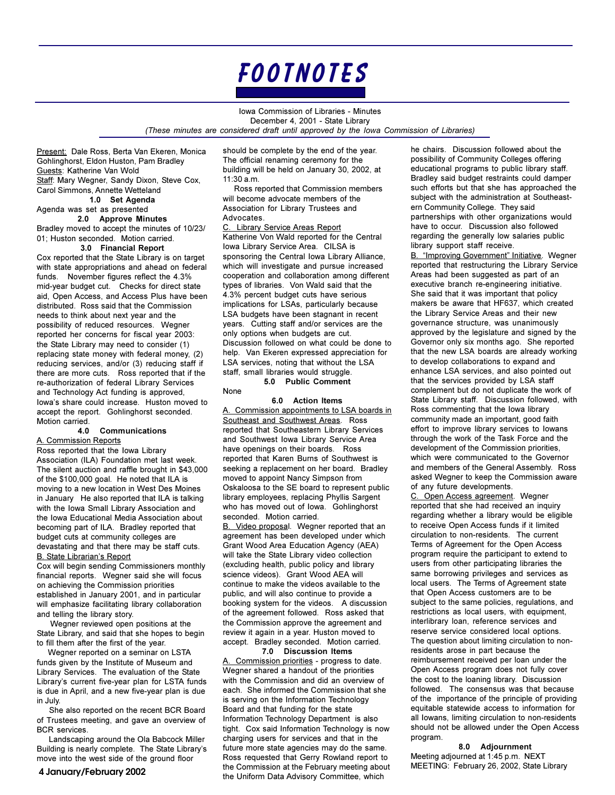

Iowa Commission of Libraries - Minutes December 4, 2001 - State Library (These minutes are considered draft until approved by the lowa Commission of Libraries)

Present: Dale Ross, Berta Van Ekeren, Monica Gohlinghorst, Eldon Huston, Pam Bradley Guests: Katherine Van Wold Staff: Mary Wegner, Sandy Dixon, Steve Cox,

Carol Simmons, Annette Wetteland 1.0 Set Agenda

### Agenda was set as presented

### 2.0 Approve Minutes

Bradley moved to accept the minutes of 10/23/ 01; Huston seconded. Motion carried.

### 3.0 Financial Report

Cox reported that the State Library is on target with state appropriations and ahead on federal funds. November figures reflect the 4.3% mid-year budget cut. Checks for direct state aid, Open Access, and Access Plus have been distributed. Ross said that the Commission needs to think about next year and the possibility of reduced resources. Wegner reported her concerns for fiscal year 2003: the State Library may need to consider (1) replacing state money with federal money, (2) reducing services, and/or (3) reducing staff if there are more cuts. Ross reported that if the re-authorization of federal Library Services and Technology Act funding is approved, lowa's share could increase. Huston moved to accept the report. Gohlinghorst seconded. Motion carried.

#### Communications 4.0 A. Commission Reports

Ross reported that the Iowa Library Association (ILA) Foundation met last week. The silent auction and raffle brought in \$43,000 of the \$100,000 goal. He noted that ILA is moving to a new location in West Des Moines in January He also reported that ILA is talking with the Iowa Small Library Association and the Iowa Educational Media Association about becoming part of ILA. Bradley reported that budget cuts at community colleges are devastating and that there may be staff cuts. **B. State Librarian's Report** 

Cox will begin sending Commissioners monthly financial reports. Wegner said she will focus on achieving the Commission priorities established in January 2001, and in particular will emphasize facilitating library collaboration and telling the library story.

Wegner reviewed open positions at the State Library, and said that she hopes to begin to fill them after the first of the year.

Wegner reported on a seminar on LSTA funds given by the Institute of Museum and Library Services. The evaluation of the State Library's current five-year plan for LSTA funds is due in April, and a new five-year plan is due in July.

She also reported on the recent BCR Board of Trustees meeting, and gave an overview of **BCR** services

Landscaping around the Ola Babcock Miller Building is nearly complete. The State Library's move into the west side of the ground floor

should be complete by the end of the year. The official renaming ceremony for the building will be held on January 30, 2002, at 11:30 a.m.

Ross reported that Commission members will become advocate members of the Association for Library Trustees and Advocates.

C. Library Service Areas Report Katherine Von Wald reported for the Central Iowa Library Service Area. CILSA is sponsoring the Central Iowa Library Alliance. which will investigate and pursue increased cooperation and collaboration among different types of libraries. Von Wald said that the 4.3% percent budget cuts have serious implications for LSAs, particularly because LSA budgets have been stagnant in recent years. Cutting staff and/or services are the only options when budgets are cut. Discussion followed on what could be done to help. Van Ekeren expressed appreciation for LSA services, noting that without the LSA staff, small libraries would struggle.

5.0 Public Comment

None

#### 6.0 Action Items

A. Commission appointments to LSA boards in Southeast and Southwest Areas. Ross reported that Southeastern Library Services and Southwest Iowa Library Service Area have openings on their boards. Ross reported that Karen Burns of Southwest is seeking a replacement on her board. Bradley moved to appoint Nancy Simpson from Oskaloosa to the SE board to represent public library employees, replacing Phyllis Sargent who has moved out of Iowa. Gohlinghorst seconded. Motion carried.

B. Video proposal. Wegner reported that an agreement has been developed under which Grant Wood Area Education Agency (AEA) will take the State Library video collection (excluding health, public policy and library science videos). Grant Wood AEA will continue to make the videos available to the public, and will also continue to provide a booking system for the videos. A discussion of the agreement followed. Ross asked that the Commission approve the agreement and review it again in a year. Huston moved to accept. Bradley seconded. Motion carried.

7.0 Discussion Items A. Commission priorities - progress to date. Wegner shared a handout of the priorities with the Commission and did an overview of each. She informed the Commission that she is serving on the Information Technology Board and that funding for the state Information Technology Department is also tight. Cox said Information Technology is now charging users for services and that in the future more state agencies may do the same. Ross requested that Gerry Rowland report to the Commission at the February meeting about the Uniform Data Advisory Committee, which

he chairs. Discussion followed about the possibility of Community Colleges offering educational programs to public library staff. Bradley said budget restraints could damper such efforts but that she has approached the subject with the administration at Southeastern Community College. They said partnerships with other organizations would have to occur. Discussion also followed regarding the generally low salaries public library support staff receive.

B. "Improving Government" Initiative. Wegner reported that restructuring the Library Service Areas had been suggested as part of an executive branch re-engineering initiative. She said that it was important that policy makers be aware that HF637, which created the Library Service Areas and their new governance structure, was unanimously approved by the legislature and signed by the Governor only six months ago. She reported that the new LSA boards are already working to develop collaborations to expand and enhance LSA services, and also pointed out that the services provided by LSA staff complement but do not duplicate the work of State Library staff. Discussion followed, with Ross commenting that the lowa library community made an important, good faith effort to improve library services to lowans through the work of the Task Force and the development of the Commission priorities, which were communicated to the Governor and members of the General Assembly. Ross asked Wegner to keep the Commission aware of any future developments.

C. Open Access agreement. Wegner reported that she had received an inquiry regarding whether a library would be eligible to receive Open Access funds if it limited circulation to non-residents. The current Terms of Agreement for the Open Access program require the participant to extend to users from other participating libraries the same borrowing privileges and services as local users. The Terms of Agreement state that Open Access customers are to be subject to the same policies, regulations, and restrictions as local users, with equipment, interlibrary loan, reference services and reserve service considered local options. The question about limiting circulation to nonresidents arose in part because the reimbursement received per loan under the Open Access program does not fully cover the cost to the loaning library. Discussion followed. The consensus was that because of the importance of the principle of providing equitable statewide access to information for all lowans, limiting circulation to non-residents should not be allowed under the Open Access program

8.0 Adjournment Meeting adjourned at 1:45 p.m. NEXT MEETING: February 26, 2002, State Library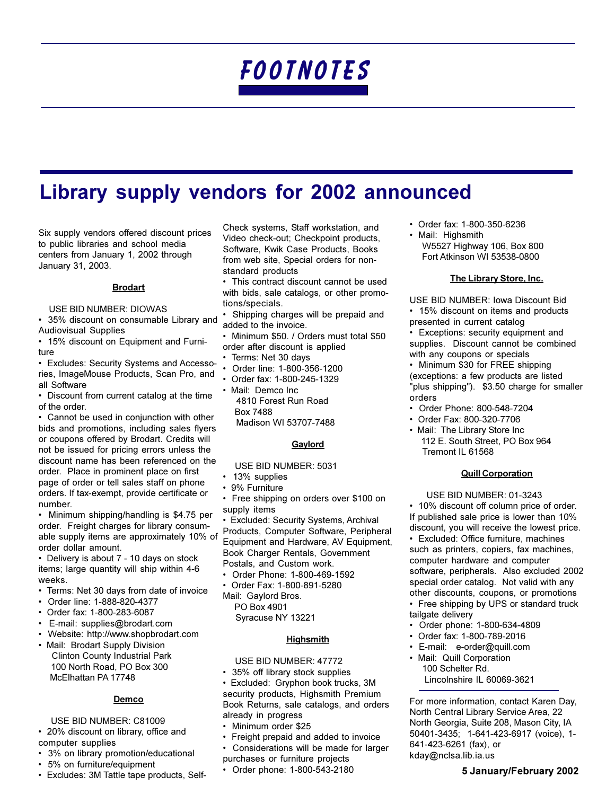# **Library supply vendors for 2002 announced**

Six supply vendors offered discount prices to public libraries and school media centers from January 1, 2002 through January 31, 2003.

#### **Brodart**

#### USE BID NUMBER: DIOWAS

• 35% discount on consumable Library and **Audiovisual Supplies** 

• 15% discount on Equipment and Furniture

• Excludes: Security Systems and Accessories, ImageMouse Products, Scan Pro, and all Software

• Discount from current catalog at the time of the order

• Cannot be used in conjunction with other bids and promotions, including sales flyers or coupons offered by Brodart. Credits will not be issued for pricing errors unless the discount name has been referenced on the order. Place in prominent place on first page of order or tell sales staff on phone orders. If tax-exempt, provide certificate or number.

• Minimum shipping/handling is \$4.75 per order. Freight charges for library consumable supply items are approximately 10% of order dollar amount.

• Delivery is about 7 - 10 days on stock items; large quantity will ship within 4-6 weeks.

- Terms: Net 30 days from date of invoice
- Order line: 1-888-820-4377
- Order fax: 1-800-283-6087
- · E-mail: supplies@brodart.com
- Website: http://www.shopbrodart.com
- Mail: Brodart Supply Division **Clinton County Industrial Park** 100 North Road, PO Box 300 McElhattan PA 17748

#### Demco

### USE BID NUMBER: C81009

• 20% discount on library, office and computer supplies

- 3% on library promotion/educational
- 5% on furniture/equipment
- Excludes: 3M Tattle tape products, Self-

Check systems, Staff workstation, and Video check-out; Checkpoint products, Software, Kwik Case Products, Books from web site. Special orders for nonstandard products

• This contract discount cannot be used with bids, sale catalogs, or other promotions/specials.

Shipping charges will be prepaid and added to the invoice.

- · Minimum \$50. / Orders must total \$50 order after discount is applied
- Terms: Net 30 days
- Order line: 1-800-356-1200
- Order fax: 1-800-245-1329

• Mail: Demco Inc 4810 Forest Run Road **Box 7488** Madison WI 53707-7488

#### Gaylord

USE BID NUMBER: 5031

- 13% supplies
- 9% Furniture
- Free shipping on orders over \$100 on supply items

Excluded: Security Systems, Archival Products, Computer Software, Peripheral Equipment and Hardware, AV Equipment, Book Charger Rentals, Government Postals, and Custom work.

- Order Phone: 1-800-469-1592
- Order Fax: 1-800-891-5280
- Mail: Gaylord Bros. PO Box 4901

Syracuse NY 13221

### **Highsmith**

USE BID NUMBER: 47772

• 35% off library stock supplies

• Excluded: Gryphon book trucks, 3M security products, Highsmith Premium Book Returns, sale catalogs, and orders already in progress

- Minimum order \$25
- Freight prepaid and added to invoice
- $\bullet$ Considerations will be made for larger
- purchases or furniture projects
- Order phone: 1-800-543-2180
- Order fax: 1-800-350-6236
- Mail: Highsmith W5527 Highway 106, Box 800 Fort Atkinson WI 53538-0800

### The Library Store, Inc.

USE BID NUMBER: Iowa Discount Bid • 15% discount on items and products

- presented in current catalog
- Exceptions: security equipment and supplies. Discount cannot be combined with any coupons or specials

• Minimum \$30 for FREE shipping (exceptions: a few products are listed "plus shipping"). \$3.50 charge for smaller orders

- Order Phone: 800-548-7204
- Order Fax: 800-320-7706
- Mail: The Library Store Inc 112 E. South Street, PO Box 964 Tremont IL 61568

### **Quill Corporation**

USE BID NUMBER: 01-3243 • 10% discount off column price of order. If published sale price is lower than 10% discount, you will receive the lowest price.

- Excluded: Office furniture, machines such as printers, copiers, fax machines, computer hardware and computer software, peripherals. Also excluded 2002 special order catalog. Not valid with any other discounts, coupons, or promotions
- Free shipping by UPS or standard truck tailgate delivery
- Order phone: 1-800-634-4809  $\bullet$
- Order fax: 1-800-789-2016
- · E-mail: e-order@quill.com
- Mail: Quill Corporation 100 Schelter Rd. Lincolnshire IL 60069-3621

For more information, contact Karen Day, North Central Library Service Area, 22 North Georgia, Suite 208, Mason City, IA 50401-3435; 1-641-423-6917 (voice), 1-641-423-6261 (fax), or kday@nclsa.lib.ia.us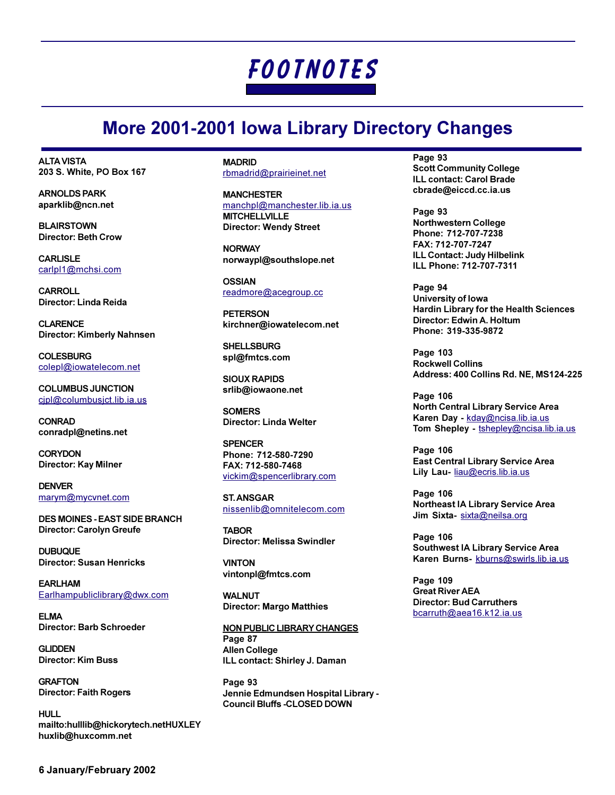## **More 2001-2001 lowa Library Directory Changes**

**ALTA VISTA** 203 S. White, PO Box 167

**ARNOLDS PARK** aparklib@ncn.net

**BLAIRSTOWN Director: Beth Crow** 

**CARLISLE** carlpl1@mchsi.com

**CARROLL** Director: Linda Reida

**CI ARFNCF** Director: Kimberly Nahnsen

**COLESBURG** colepl@iowatelecom.net

**COLUMBUS JUNCTION** cipl@columbusict.lib.ia.us

**CONRAD** conradpl@netins.net

**CORYDON** Director: Kay Milner

**DENVER** marym@mycvnet.com

**DES MOINES - EAST SIDE BRANCH** Director: Carolyn Greufe

**DURUOUF Director: Susan Henricks** 

**EARLHAM** Earlhampubliclibrary@dwx.com

FI MA **Director: Barb Schroeder** 

**GI IDDEN Director: Kim Buss** 

**GRAFTON Director: Faith Rogers** 

**HULL** mailto:hulllib@hickorytech.netHUXLEY huxlib@huxcomm.net

**MADRID** rbmadrid@prairieinet.net

**MANCHESTER** manchpl@manchester.lib.ia.us **MITCHELLVILLE Director: Wendy Street** 

**NORWAY** norwaypl@southslope.net

**OSSIAN** readmore@acegroup.cc

**PETERSON** kirchner@iowatelecom.net

**SHELLSBURG** spl@fmtcs.com

**SIOUX RAPIDS** srlib@iowaone.net

**SOMERS Director: Linda Welter** 

**SPENCER** Phone: 712-580-7290 FAX: 712-580-7468 vickim@spencerlibrary.com

**ST. ANSGAR** nissenlib@omnitelecom.com

**TAROR Director: Melissa Swindler** 

**VINTON** vintonpl@fmtcs.com

**WALNUT Director: Margo Matthies** 

**NON PUBLIC LIBRARY CHANGES** Page 87 **Allen College** ILL contact: Shirley J. Daman

Page 93 Jennie Edmundsen Hospital Library -**Council Bluffs -CLOSED DOWN** 

Page 93 **Scott Community College** ILL contact: Carol Brade cbrade@eiccd.cc.ia.us

Page 93 **Northwestern College** Phone: 712-707-7238 FAX: 712-707-7247 ILL Contact: Judy Hilbelink ILL Phone: 712-707-7311

Page 94 University of Iowa **Hardin Library for the Health Sciences** Director: Edwin A. Holtum Phone: 319-335-9872

**Page 103 Rockwell Collins** Address: 400 Collins Rd. NE, MS124-225

**Page 106** North Central Library Service Area Karen Day - kday@ncisa.lib.ia.us Tom Shepley - tshepley@ncisa.lib.ia.us

**Page 106 East Central Library Service Area** Lily Lau- liau@ecris.lib.ia.us

**Page 106 Northeast IA Library Service Area** Jim Sixta- sixta@neilsa.org

Page 106 Southwest IA Library Service Area Karen Burns- kburns@swirls.lib.ia.us

Page 109 **Great River AEA Director: Bud Carruthers** bcarruth@aea16.k12.ia.us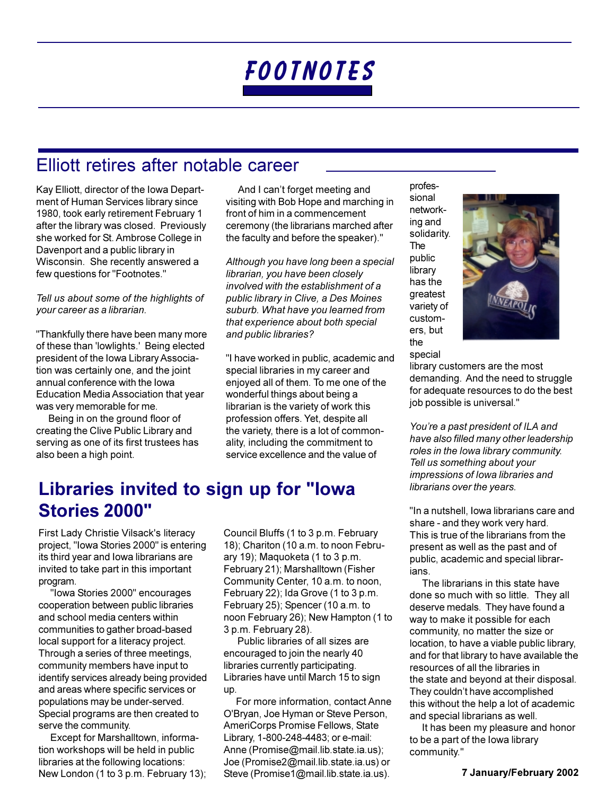## Elliott retires after notable career

Kay Elliott, director of the Iowa Department of Human Services library since 1980, took early retirement February 1 after the library was closed. Previously she worked for St. Ambrose College in Davenport and a public library in Wisconsin. She recently answered a few questions for "Footnotes."

### Tell us about some of the highlights of your career as a librarian.

"Thankfully there have been many more of these than 'lowlights.' Being elected president of the Iowa Library Association was certainly one, and the joint annual conference with the lowa Education Media Association that year was very memorable for me.

Being in on the ground floor of creating the Clive Public Library and serving as one of its first trustees has also been a high point.

And I can't forget meeting and visiting with Bob Hope and marching in front of him in a commencement ceremony (the librarians marched after the faculty and before the speaker)."

Although you have long been a special librarian, you have been closely involved with the establishment of a public library in Clive, a Des Moines suburb. What have you learned from that experience about both special and public libraries?

"I have worked in public, academic and special libraries in my career and enjoyed all of them. To me one of the wonderful things about being a librarian is the variety of work this profession offers. Yet, despite all the variety, there is a lot of commonality, including the commitment to service excellence and the value of

## Libraries invited to sign up for "lowa **Stories 2000"**

First Lady Christie Vilsack's literacy project, "Iowa Stories 2000" is entering its third year and lowa librarians are invited to take part in this important program.

"Iowa Stories 2000" encourages cooperation between public libraries and school media centers within communities to gather broad-based local support for a literacy project. Through a series of three meetings, community members have input to identify services already being provided and areas where specific services or populations may be under-served. Special programs are then created to serve the community.

Except for Marshalltown, information workshops will be held in public libraries at the following locations: New London (1 to 3 p.m. February 13); Council Bluffs (1 to 3 p.m. February 18); Chariton (10 a.m. to noon February 19); Maquoketa (1 to 3 p.m. February 21); Marshalltown (Fisher Community Center, 10 a.m. to noon, February 22); Ida Grove (1 to 3 p.m. February 25); Spencer (10 a.m. to noon February 26); New Hampton (1 to 3 p.m. February 28).

Public libraries of all sizes are encouraged to join the nearly 40 libraries currently participating. Libraries have until March 15 to sign up.

For more information, contact Anne O'Bryan, Joe Hyman or Steve Person, AmeriCorps Promise Fellows, State Library, 1-800-248-4483; or e-mail: Anne (Promise@mail.lib.state.ia.us); Joe (Promise2@mail.lib.state.ia.us) or Steve (Promise1@mail.lib.state.ia.us).

professional networking and solidarity. The public library has the greatest variety of customers, but the special



library customers are the most demanding. And the need to struggle for adequate resources to do the best job possible is universal."

You're a past president of ILA and have also filled many other leadership roles in the lowa library community. Tell us something about your impressions of lowa libraries and librarians over the years.

"In a nutshell, lowa librarians care and share - and they work very hard. This is true of the librarians from the present as well as the past and of public, academic and special librarians.

The librarians in this state have done so much with so little. They all deserve medals. They have found a way to make it possible for each community, no matter the size or location, to have a viable public library. and for that library to have available the resources of all the libraries in the state and beyond at their disposal. They couldn't have accomplished this without the help a lot of academic and special librarians as well.

It has been my pleasure and honor to be a part of the lowa library community."